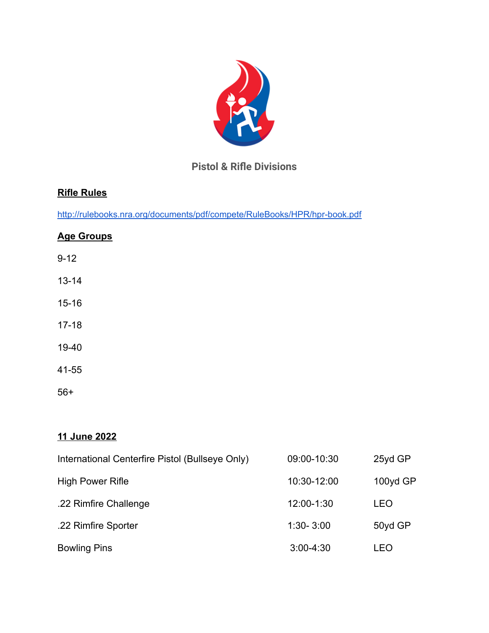

# **Pistol & Rifle Divisions**

## **Rifle Rules**

<http://rulebooks.nra.org/documents/pdf/compete/RuleBooks/HPR/hpr-book.pdf>

## **Age Groups**

- 9-12
- 13-14
- 15-16
- 17-18
- 19-40
- 41-55

56+

## **11 June 2022**

| International Centerfire Pistol (Bullseye Only) | 09:00-10:30   | 25yd GP    |
|-------------------------------------------------|---------------|------------|
| <b>High Power Rifle</b>                         | 10:30-12:00   | 100yd GP   |
| .22 Rimfire Challenge                           | 12:00-1:30    | <b>LEO</b> |
| .22 Rimfire Sporter                             | $1:30 - 3:00$ | 50yd GP    |
| <b>Bowling Pins</b>                             | $3:00-4:30$   | LEO        |